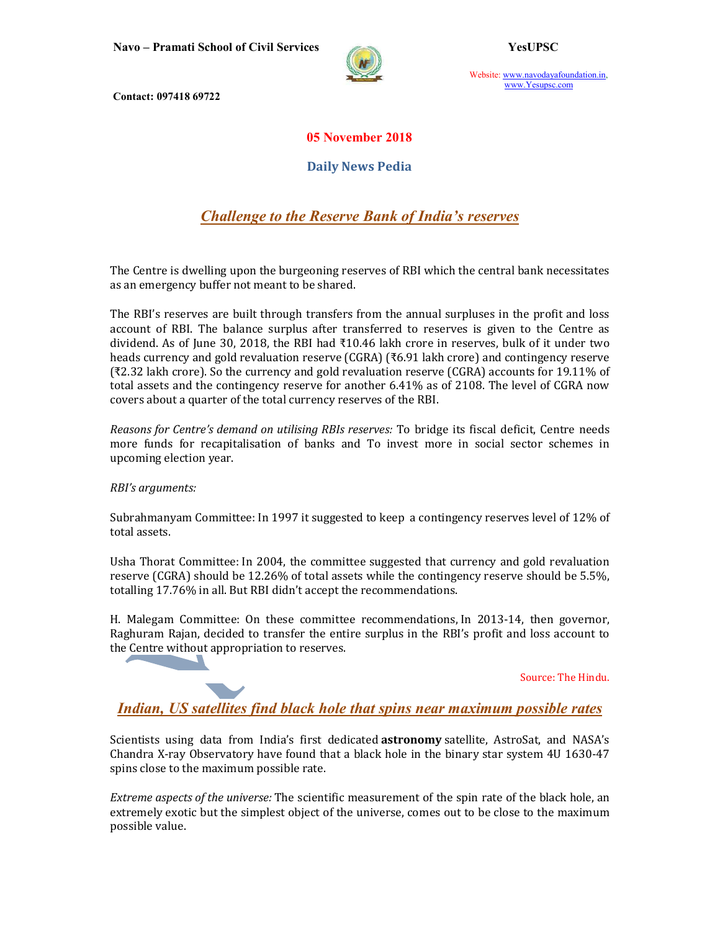Navo – Pramati School of Civil Services YesUPSC



Website: www.navodayafoundation.in, www.Yesupsc.com

Contact: 097418 69722

## 05 November 2018

Daily News Pedia

Challenge to the Reserve Bank of India's reserves

The Centre is dwelling upon the burgeoning reserves of RBI which the central bank necessitates as an emergency buffer not meant to be shared.

The RBI's reserves are built through transfers from the annual surpluses in the profit and loss account of RBI. The balance surplus after transferred to reserves is given to the Centre as dividend. As of June 30, 2018, the RBI had ₹10.46 lakh crore in reserves, bulk of it under two heads currency and gold revaluation reserve (CGRA) (₹6.91 lakh crore) and contingency reserve (₹2.32 lakh crore). So the currency and gold revaluation reserve (CGRA) accounts for 19.11% of total assets and the contingency reserve for another 6.41% as of 2108. The level of CGRA now covers about a quarter of the total currency reserves of the RBI.

Reasons for Centre's demand on utilising RBIs reserves: To bridge its fiscal deficit, Centre needs more funds for recapitalisation of banks and To invest more in social sector schemes in upcoming election year.

RBI's arguments:

Subrahmanyam Committee: In 1997 it suggested to keep a contingency reserves level of 12% of total assets.

Usha Thorat Committee: In 2004, the committee suggested that currency and gold revaluation reserve (CGRA) should be 12.26% of total assets while the contingency reserve should be 5.5%, totalling 17.76% in all. But RBI didn't accept the recommendations.

H. Malegam Committee: On these committee recommendations, In 2013-14, then governor, Raghuram Rajan, decided to transfer the entire surplus in the RBI's profit and loss account to the Centre without appropriation to reserves.

Source: The Hindu.

Indian, US satellites find black hole that spins near maximum possible rates

Scientists using data from India's first dedicated **astronomy** satellite, AstroSat, and NASA's Chandra X-ray Observatory have found that a black hole in the binary star system 4U 1630-47 spins close to the maximum possible rate.

Extreme aspects of the universe: The scientific measurement of the spin rate of the black hole, an extremely exotic but the simplest object of the universe, comes out to be close to the maximum possible value.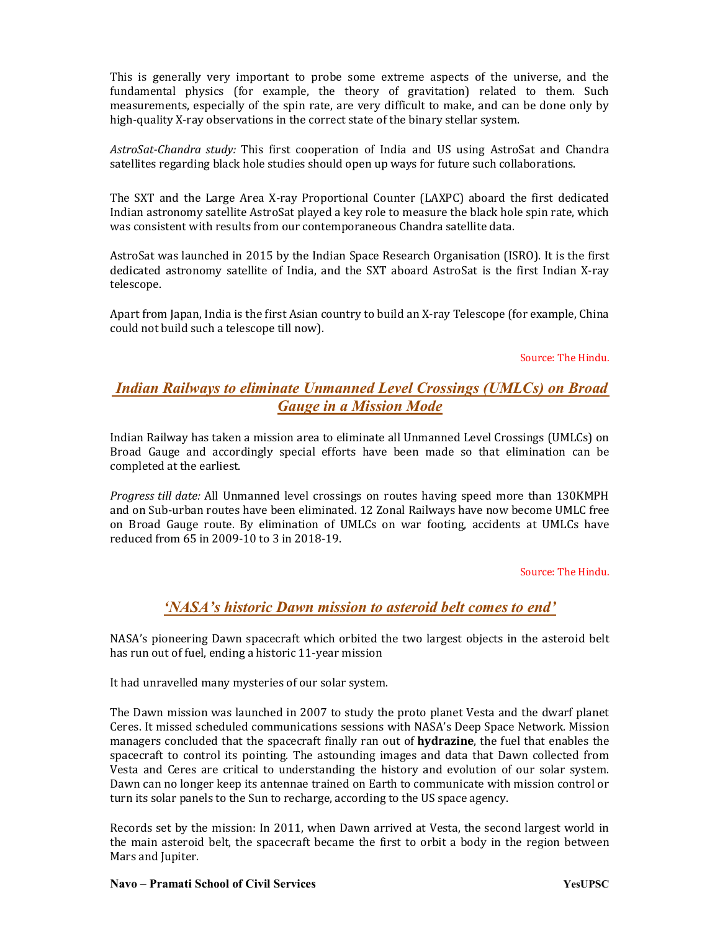This is generally very important to probe some extreme aspects of the universe, and the fundamental physics (for example, the theory of gravitation) related to them. Such measurements, especially of the spin rate, are very difficult to make, and can be done only by high-quality X-ray observations in the correct state of the binary stellar system.

AstroSat-Chandra study: This first cooperation of India and US using AstroSat and Chandra satellites regarding black hole studies should open up ways for future such collaborations.

The SXT and the Large Area X-ray Proportional Counter (LAXPC) aboard the first dedicated Indian astronomy satellite AstroSat played a key role to measure the black hole spin rate, which was consistent with results from our contemporaneous Chandra satellite data.

AstroSat was launched in 2015 by the Indian Space Research Organisation (ISRO). It is the first dedicated astronomy satellite of India, and the SXT aboard AstroSat is the first Indian X-ray telescope.

Apart from Japan, India is the first Asian country to build an X-ray Telescope (for example, China could not build such a telescope till now).

#### Source: The Hindu.

## Indian Railways to eliminate Unmanned Level Crossings (UMLCs) on Broad Gauge in a Mission Mode

Indian Railway has taken a mission area to eliminate all Unmanned Level Crossings (UMLCs) on Broad Gauge and accordingly special efforts have been made so that elimination can be completed at the earliest.

Progress till date: All Unmanned level crossings on routes having speed more than 130KMPH and on Sub-urban routes have been eliminated. 12 Zonal Railways have now become UMLC free on Broad Gauge route. By elimination of UMLCs on war footing, accidents at UMLCs have reduced from 65 in 2009-10 to 3 in 2018-19.

#### Source: The Hindu.

### 'NASA's historic Dawn mission to asteroid belt comes to end'

NASA's pioneering Dawn spacecraft which orbited the two largest objects in the asteroid belt has run out of fuel, ending a historic 11-year mission

It had unravelled many mysteries of our solar system.

The Dawn mission was launched in 2007 to study the proto planet Vesta and the dwarf planet Ceres. It missed scheduled communications sessions with NASA's Deep Space Network. Mission managers concluded that the spacecraft finally ran out of **hydrazine**, the fuel that enables the spacecraft to control its pointing. The astounding images and data that Dawn collected from Vesta and Ceres are critical to understanding the history and evolution of our solar system. Dawn can no longer keep its antennae trained on Earth to communicate with mission control or turn its solar panels to the Sun to recharge, according to the US space agency.

Records set by the mission: In 2011, when Dawn arrived at Vesta, the second largest world in the main asteroid belt, the spacecraft became the first to orbit a body in the region between Mars and Jupiter.

#### Navo – Pramati School of Civil Services Navo – Wesuppedia Navo – YesuPSC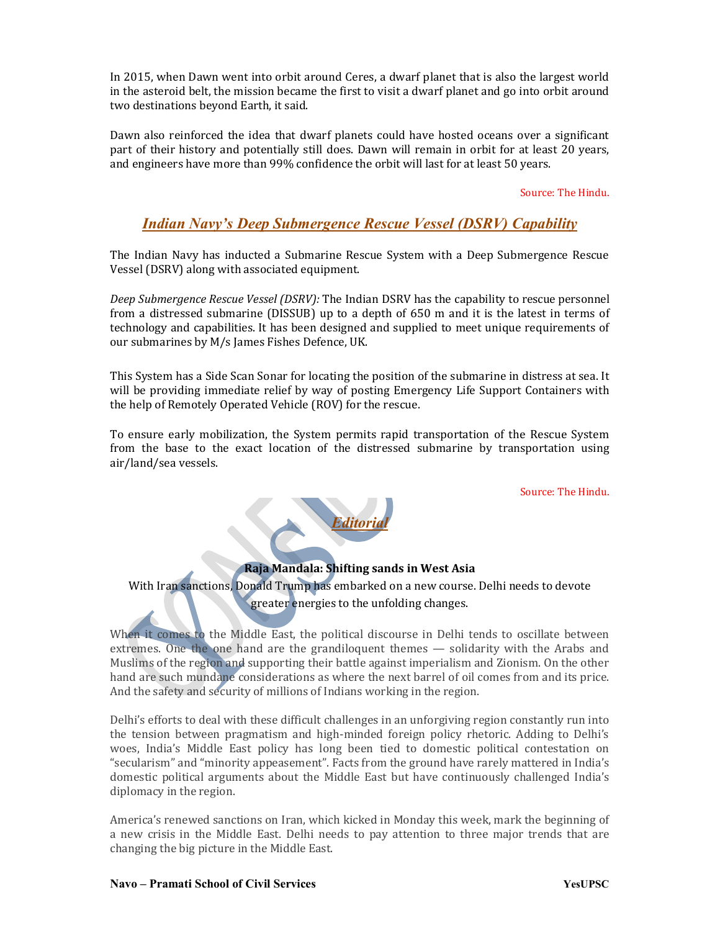In 2015, when Dawn went into orbit around Ceres, a dwarf planet that is also the largest world in the asteroid belt, the mission became the first to visit a dwarf planet and go into orbit around two destinations beyond Earth, it said.

Dawn also reinforced the idea that dwarf planets could have hosted oceans over a significant part of their history and potentially still does. Dawn will remain in orbit for at least 20 years, and engineers have more than 99% confidence the orbit will last for at least 50 years.

#### Source: The Hindu.

## Indian Navy's Deep Submergence Rescue Vessel (DSRV) Capability

The Indian Navy has inducted a Submarine Rescue System with a Deep Submergence Rescue Vessel (DSRV) along with associated equipment.

Deep Submergence Rescue Vessel (DSRV): The Indian DSRV has the capability to rescue personnel from a distressed submarine (DISSUB) up to a depth of 650 m and it is the latest in terms of technology and capabilities. It has been designed and supplied to meet unique requirements of our submarines by M/s James Fishes Defence, UK.

This System has a Side Scan Sonar for locating the position of the submarine in distress at sea. It will be providing immediate relief by way of posting Emergency Life Support Containers with the help of Remotely Operated Vehicle (ROV) for the rescue.

To ensure early mobilization, the System permits rapid transportation of the Rescue System from the base to the exact location of the distressed submarine by transportation using air/land/sea vessels.

Source: The Hindu.



### Raja Mandala: Shifting sands in West Asia

With Iran sanctions, Donald Trump has embarked on a new course. Delhi needs to devote greater energies to the unfolding changes.

When it comes to the Middle East, the political discourse in Delhi tends to oscillate between extremes. One the one hand are the grandiloquent themes — solidarity with the Arabs and Muslims of the region and supporting their battle against imperialism and Zionism. On the other hand are such mundane considerations as where the next barrel of oil comes from and its price. And the safety and security of millions of Indians working in the region.

Delhi's efforts to deal with these difficult challenges in an unforgiving region constantly run into the tension between pragmatism and high-minded foreign policy rhetoric. Adding to Delhi's woes, India's Middle East policy has long been tied to domestic political contestation on "secularism" and "minority appeasement". Facts from the ground have rarely mattered in India's domestic political arguments about the Middle East but have continuously challenged India's diplomacy in the region.

America's renewed sanctions on Iran, which kicked in Monday this week, mark the beginning of a new crisis in the Middle East. Delhi needs to pay attention to three major trends that are changing the big picture in the Middle East.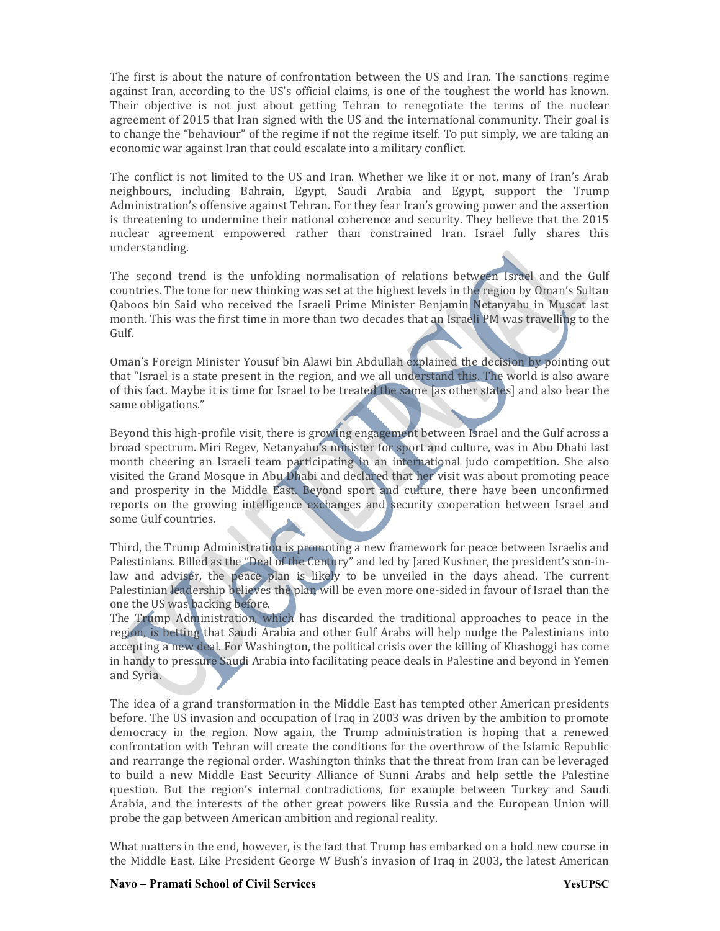The first is about the nature of confrontation between the US and Iran. The sanctions regime against Iran, according to the US's official claims, is one of the toughest the world has known. Their objective is not just about getting Tehran to renegotiate the terms of the nuclear agreement of 2015 that Iran signed with the US and the international community. Their goal is to change the "behaviour" of the regime if not the regime itself. To put simply, we are taking an economic war against Iran that could escalate into a military conflict.

The conflict is not limited to the US and Iran. Whether we like it or not, many of Iran's Arab neighbours, including Bahrain, Egypt, Saudi Arabia and Egypt, support the Trump Administration's offensive against Tehran. For they fear Iran's growing power and the assertion is threatening to undermine their national coherence and security. They believe that the 2015 nuclear agreement empowered rather than constrained Iran. Israel fully shares this understanding.

The second trend is the unfolding normalisation of relations between Israel and the Gulf countries. The tone for new thinking was set at the highest levels in the region by Oman's Sultan Qaboos bin Said who received the Israeli Prime Minister Benjamin Netanyahu in Muscat last month. This was the first time in more than two decades that an Israeli PM was travelling to the Gulf.

Oman's Foreign Minister Yousuf bin Alawi bin Abdullah explained the decision by pointing out that "Israel is a state present in the region, and we all understand this. The world is also aware of this fact. Maybe it is time for Israel to be treated the same [as other states] and also bear the same obligations."

Beyond this high-profile visit, there is growing engagement between Israel and the Gulf across a broad spectrum. Miri Regev, Netanyahu's minister for sport and culture, was in Abu Dhabi last month cheering an Israeli team participating in an international judo competition. She also visited the Grand Mosque in Abu Dhabi and declared that her visit was about promoting peace and prosperity in the Middle East. Beyond sport and culture, there have been unconfirmed reports on the growing intelligence exchanges and security cooperation between Israel and some Gulf countries.

Third, the Trump Administration is promoting a new framework for peace between Israelis and Palestinians. Billed as the "Deal of the Century" and led by Jared Kushner, the president's son-inlaw and adviser, the peace plan is likely to be unveiled in the days ahead. The current Palestinian leadership believes the plan will be even more one-sided in favour of Israel than the one the US was backing before.

The Trump Administration, which has discarded the traditional approaches to peace in the region, is betting that Saudi Arabia and other Gulf Arabs will help nudge the Palestinians into accepting a new deal. For Washington, the political crisis over the killing of Khashoggi has come in handy to pressure Saudi Arabia into facilitating peace deals in Palestine and beyond in Yemen and Syria.

The idea of a grand transformation in the Middle East has tempted other American presidents before. The US invasion and occupation of Iraq in 2003 was driven by the ambition to promote democracy in the region. Now again, the Trump administration is hoping that a renewed confrontation with Tehran will create the conditions for the overthrow of the Islamic Republic and rearrange the regional order. Washington thinks that the threat from Iran can be leveraged to build a new Middle East Security Alliance of Sunni Arabs and help settle the Palestine question. But the region's internal contradictions, for example between Turkey and Saudi Arabia, and the interests of the other great powers like Russia and the European Union will probe the gap between American ambition and regional reality.

What matters in the end, however, is the fact that Trump has embarked on a bold new course in the Middle East. Like President George W Bush's invasion of Iraq in 2003, the latest American